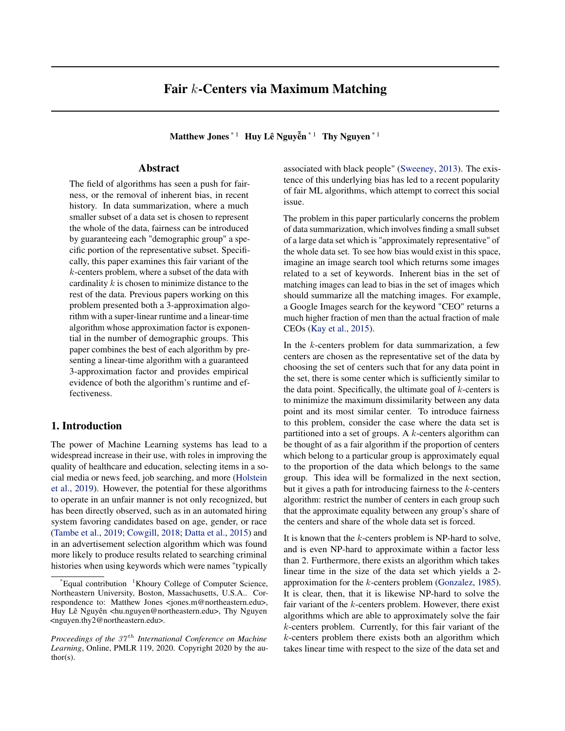## Fair k-Centers via Maximum Matching

Matthew Jones  $*1$  Huy Lê Nguyễn  $*1$  Thy Nguyen  $*1$ 

The field of algorithms has seen a push for fairness, or the removal of inherent bias, in recent history. In data summarization, where a much smaller subset of a data set is chosen to represent the whole of the data, fairness can be introduced by guaranteeing each "demographic group" a specific portion of the representative subset. Specifically, this paper examines this fair variant of the k-centers problem, where a subset of the data with cardinality  $k$  is chosen to minimize distance to the rest of the data. Previous papers working on this problem presented both a 3-approximation algorithm with a super-linear runtime and a linear-time algorithm whose approximation factor is exponential in the number of demographic groups. This paper combines the best of each algorithm by presenting a linear-time algorithm with a guaranteed 3-approximation factor and provides empirical evidence of both the algorithm's runtime and effectiveness.

### 1. Introduction

The power of Machine Learning systems has lead to a widespread increase in their use, with roles in improving the quality of healthcare and education, selecting items in a social media or news feed, job searching, and more [\(Holstein](#page-9-0)  [et al., 2019\)](#page-9-0). However, the potential for these algorithms to operate in an unfair manner is not only recognized, but has been directly observed, such as in an automated hiring system favoring candidates based on age, gender, or race [\(Tambe et al., 2019; Cowgill, 2018; Datta et al., 2015\)](#page-9-0) and in an advertisement selection algorithm which was found more likely to produce results related to searching criminal histories when using keywords which were names "typically

Abstract associated with black people" [\(Sweeney, 2013\)](#page-9-0). The existence of this underlying bias has led to a recent popularity of fair ML algorithms, which attempt to correct this social issue.

> The problem in this paper particularly concerns the problem of data summarization, which involves finding a small subset of a large data set which is "approximately representative" of the whole data set. To see how bias would exist in this space, imagine an image search tool which returns some images related to a set of keywords. Inherent bias in the set of matching images can lead to bias in the set of images which should summarize all the matching images. For example, a Google Images search for the keyword "CEO" returns a much higher fraction of men than the actual fraction of male CEOs [\(Kay et al., 2015\)](#page-9-0).

> In the  $k$ -centers problem for data summarization, a few centers are chosen as the representative set of the data by choosing the set of centers such that for any data point in the set, there is some center which is sufficiently similar to the data point. Specifically, the ultimate goal of  $k$ -centers is to minimize the maximum dissimilarity between any data point and its most similar center. To introduce fairness to this problem, consider the case where the data set is partitioned into a set of groups. A  $k$ -centers algorithm can be thought of as a fair algorithm if the proportion of centers which belong to a particular group is approximately equal to the proportion of the data which belongs to the same group. This idea will be formalized in the next section, but it gives a path for introducing fairness to the  $k$ -centers algorithm: restrict the number of centers in each group such that the approximate equality between any group's share of the centers and share of the whole data set is forced.

> It is known that the  $k$ -centers problem is NP-hard to solve, and is even NP-hard to approximate within a factor less than 2. Furthermore, there exists an algorithm which takes linear time in the size of the data set which yields a 2 approximation for the k-centers problem [\(Gonzalez, 1985\)](#page-9-0). It is clear, then, that it is likewise NP-hard to solve the fair variant of the  $k$ -centers problem. However, there exist algorithms which are able to approximately solve the fair k-centers problem. Currently, for this fair variant of the k-centers problem there exists both an algorithm which takes linear time with respect to the size of the data set and

<sup>\*</sup>Equal contribution <sup>1</sup>Khoury College of Computer Science, Northeastern University, Boston, Massachusetts, U.S.A.. Correspondence to: Matthew Jones <jones.m@northeastern.edu>, Huy Lê Nguyên <hu.nguyen@northeastern.edu>, Thy Nguyen <nguyen.thy2@northeastern.edu>.

*Proceedings of the 37<sup>th</sup> International Conference on Machine Learning*, Online, PMLR 119, 2020. Copyright 2020 by the author(s).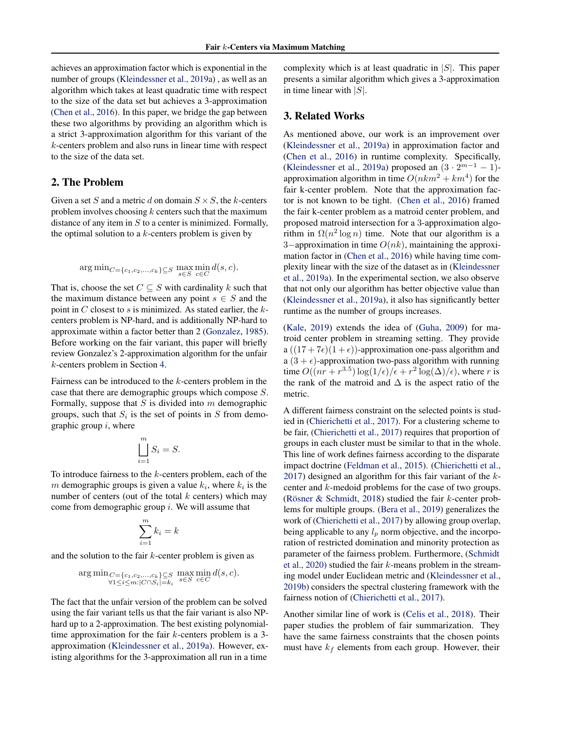achieves an approximation factor which is exponential in the number of groups [\(Kleindessner et al., 2019a\)](#page-9-0) , as well as an algorithm which takes at least quadratic time with respect to the size of the data set but achieves a 3-approximation [\(Chen et al., 2016\)](#page-9-0). In this paper, we bridge the gap between these two algorithms by providing an algorithm which is a strict 3-approximation algorithm for this variant of the k-centers problem and also runs in linear time with respect to the size of the data set.

### 2. The Problem

Given a set S and a metric d on domain  $S \times S$ , the k-centers problem involves choosing  $k$  centers such that the maximum distance of any item in  $S$  to a center is minimized. Formally, the optimal solution to a  $k$ -centers problem is given by

$$
\arg\min_{C=\{c_1,c_2,\dots,c_k\}\subseteq S} \max_{s\in S} \min_{c\in C} d(s,c).
$$

That is, choose the set  $C \subseteq S$  with cardinality k such that the maximum distance between any point  $s \in S$  and the point in  $C$  closest to  $s$  is minimized. As stated earlier, the  $k$ centers problem is NP-hard, and is additionally NP-hard to approximate within a factor better than 2 [\(Gonzalez, 1985\)](#page-9-0). Before working on the fair variant, this paper will briefly review Gonzalez's 2-approximation algorithm for the unfair k-centers problem in Section [4.](#page-2-0)

Fairness can be introduced to the k-centers problem in the case that there are demographic groups which compose S. Formally, suppose that  $S$  is divided into  $m$  demographic groups, such that  $S_i$  is the set of points in S from demographic group  $i$ , where

$$
\bigsqcup_{i=1}^{m} S_i = S.
$$

To introduce fairness to the k-centers problem, each of the m demographic groups is given a value  $k_i$ , where  $k_i$  is the number of centers (out of the total  $k$  centers) which may come from demographic group  $i$ . We will assume that

$$
\sum_{i=1}^{m} k_i = k
$$

and the solution to the fair  $k$ -center problem is given as

$$
\arg\min_{C=\{c_1,c_2,\ldots,c_k\}\subseteq S \atop \forall 1\leq i\leq m:|C\cap S_i|=k_i} \max_{s\in S} \min_{c\in C} d(s,c).
$$

The fact that the unfair version of the problem can be solved using the fair variant tells us that the fair variant is also NPhard up to a 2-approximation. The best existing polynomialtime approximation for the fair  $k$ -centers problem is a 3approximation [\(Kleindessner et al., 2019a\)](#page-9-0). However, existing algorithms for the 3-approximation all run in a time

complexity which is at least quadratic in  $|S|$ . This paper presents a similar algorithm which gives a 3-approximation in time linear with  $|S|$ .

### 3. Related Works

As mentioned above, our work is an improvement over [\(Kleindessner et al.,](#page-9-0) [2019a\)](#page-9-0) in approximation factor and [\(Chen et al.,](#page-9-0) [2016\)](#page-9-0) in runtime complexity. Specifically, [\(Kleindessner et al., 2019a\)](#page-9-0) proposed an  $(3 \cdot 2^{m-1} - 1)$ approximation algorithm in time  $O(nkm^2 + km^4)$  for the fair k-center problem. Note that the approximation factor is not known to be tight. [\(Chen et al.,](#page-9-0) [2016\)](#page-9-0) framed the fair k-center problem as a matroid center problem, and proposed matroid intersection for a 3-approximation algorithm in  $\Omega(n^2 \log n)$  time. Note that our algorithm is a 3−approximation in time  $O(nk)$ , maintaining the approximation factor in [\(Chen et al., 2016\)](#page-9-0) while having time complexity linear with the size of the dataset as in [\(Kleindessner](#page-9-0)  [et al., 2019a\)](#page-9-0). In the experimental section, we also observe that not only our algorithm has better objective value than [\(Kleindessner et al., 2019a\)](#page-9-0), it also has significantly better runtime as the number of groups increases.

[\(Kale,](#page-9-0) [2019\)](#page-9-0) extends the idea of [\(Guha,](#page-9-0) [2009\)](#page-9-0) for matroid center problem in streaming setting. They provide a  $((17 + 7\epsilon)(1 + \epsilon))$ -approximation one-pass algorithm and a  $(3 + \epsilon)$ -approximation two-pass algorithm with running time  $O((nr + r^{3.5}) \log(1/\epsilon) / \epsilon + r^2 \log(\Delta)/\epsilon)$ , where r is the rank of the matroid and  $\Delta$  is the aspect ratio of the metric.

A different fairness constraint on the selected points is studied in [\(Chierichetti et al., 2017\)](#page-9-0). For a clustering scheme to be fair, [\(Chierichetti et al., 2017\)](#page-9-0) requires that proportion of groups in each cluster must be similar to that in the whole. This line of work defines fairness according to the disparate impact doctrine [\(Feldman et al., 2015\)](#page-9-0). [\(Chierichetti et al.,](#page-9-0) [2017\)](#page-9-0) designed an algorithm for this fair variant of the kcenter and k-medoid problems for the case of two groups. [\(Rösner & Schmidt, 2018\)](#page-9-0) studied the fair k-center problems for multiple groups. [\(Bera et al., 2019\)](#page-9-0) generalizes the work of [\(Chierichetti et al., 2017\)](#page-9-0) by allowing group overlap, being applicable to any  $l_p$  norm objective, and the incorporation of restricted domination and minority protection as parameter of the fairness problem. Furthermore, [\(Schmidt](#page-9-0)  [et al., 2020\)](#page-9-0) studied the fair k-means problem in the streaming model under Euclidean metric and [\(Kleindessner et al.,](#page-9-0) [2019b\)](#page-9-0) considers the spectral clustering framework with the fairness notion of [\(Chierichetti et al., 2017\)](#page-9-0).

Another similar line of work is [\(Celis et al., 2018\)](#page-9-0). Their paper studies the problem of fair summarization. They have the same fairness constraints that the chosen points must have  $k_f$  elements from each group. However, their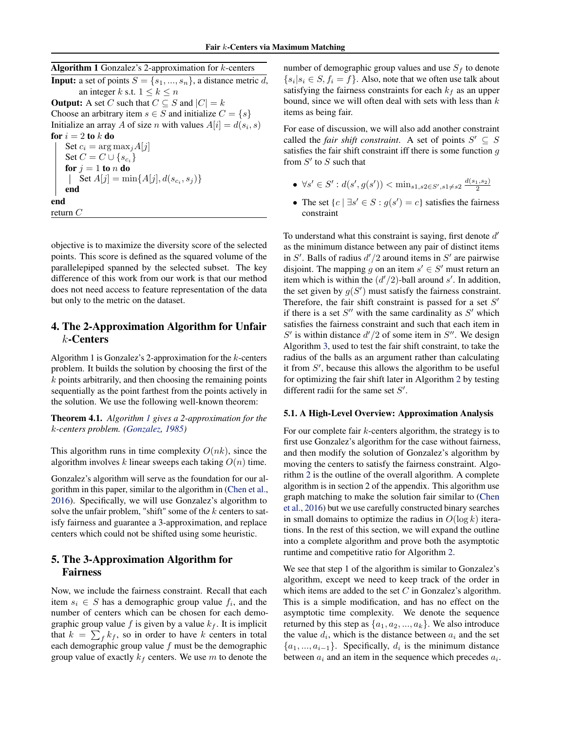<span id="page-2-0"></span>**Algorithm 1** Gonzalez's 2-approximation for  $k$ -centers **Input:** a set of points  $S = \{s_1, ..., s_n\}$ , a distance metric d, an integer k s.t.  $1 \leq k \leq n$ **Output:** A set C such that  $C \subseteq S$  and  $|C| = k$ Choose an arbitrary item  $s \in S$  and initialize  $C = \{s\}$ Initialize an array A of size n with values  $A[i] = d(s_i, s)$ for  $i = 2$  to  $k$  do Set  $c_i = \arg \max_j A[j]$ Set  $C = C \cup \{s_{c_i}\}\$ for  $j = 1$  to n do  $\sum_{j=1}^{J} \text{Set } A[j] = \min\{A[j], d(s_{c_i}, s_j)\}$ end end return $\mathcal C$ 

objective is to maximize the diversity score of the selected points. This score is defined as the squared volume of the parallelepiped spanned by the selected subset. The key difference of this work from our work is that our method does not need access to feature representation of the data but only to the metric on the dataset.

### 4. The 2-Approximation Algorithm for Unfair k-Centers

Algorithm 1 is Gonzalez's 2-approximation for the k-centers problem. It builds the solution by choosing the first of the  $k$  points arbitrarily, and then choosing the remaining points sequentially as the point farthest from the points actively in the solution. We use the following well-known theorem:

Theorem 4.1. *Algorithm 1 gives a 2-approximation for the*  k*-centers problem. [\(Gonzalez, 1985\)](#page-9-0)* 

This algorithm runs in time complexity  $O(nk)$ , since the algorithm involves k linear sweeps each taking  $O(n)$  time.

Gonzalez's algorithm will serve as the foundation for our algorithm in this paper, similar to the algorithm in [\(Chen et al.,](#page-9-0) [2016\)](#page-9-0). Specifically, we will use Gonzalez's algorithm to solve the unfair problem, "shift" some of the  $k$  centers to satisfy fairness and guarantee a 3-approximation, and replace centers which could not be shifted using some heuristic.

### 5. The 3-Approximation Algorithm for Fairness

Now, we include the fairness constraint. Recall that each item  $s_i \in S$  has a demographic group value  $f_i$ , and the number of centers which can be chosen for each demographic group value  $f$  is given by a value  $k_f$ . It is implicit that  $k = \sum_{f} k_f$ , so in order to have k centers in total each demographic group value  $f$  must be the demographic group value of exactly  $k_f$  centers. We use m to denote the

number of demographic group values and use  $S_f$  to denote  $\{s_i | s_i \in S, f_i = f\}$ . Also, note that we often use talk about satisfying the fairness constraints for each  $k_f$  as an upper bound, since we will often deal with sets with less than  $k$ items as being fair.

For ease of discussion, we will also add another constraint called the *fair shift constraint*. A set of points  $S' \subseteq S$ satisfies the fair shift constraint iff there is some function  $q$ from  $S'$  to  $S$  such that

- $\forall s' \in S' : d(s', g(s')) < \min_{s1, s2 \in S', s1 \neq s2} \frac{d(s_1, s_2)}{2}$
- The set  $\{c \mid \exists s' \in S : g(s') = c\}$  satisfies the fairness constraint

To understand what this constraint is saying, first denote d' as the minimum distance between any pair of distinct items in  $S'$ . Balls of radius  $d'/2$  around items in  $S'$  are pairwise disjoint. The mapping g on an item  $s' \in S'$  must return an item which is within the  $\left(\frac{d'}{2}\right)$ -ball around s'. In addition, the set given by  $g(S')$  must satisfy the fairness constraint. Therefore, the fair shift constraint is passed for a set  $S'$ if there is a set  $S''$  with the same cardinality as  $S'$  which satisfies the fairness constraint and such that each item in S' is within distance  $d'/2$  of some item in S''. We design Algorithm [3,](#page-4-0) used to test the fair shift constraint, to take the radius of the balls as an argument rather than calculating it from  $S'$ , because this allows the algorithm to be useful for optimizing the fair shift later in Algorithm [2](#page-3-0) by testing different radii for the same set  $S'$ .

### 5.1. A High-Level Overview: Approximation Analysis

For our complete fair  $k$ -centers algorithm, the strategy is to first use Gonzalez's algorithm for the case without fairness, and then modify the solution of Gonzalez's algorithm by moving the centers to satisfy the fairness constraint. Algorithm [2](#page-3-0) is the outline of the overall algorithm. A complete algorithm is in section 2 of the appendix. This algorithm use graph matching to make the solution fair similar to [\(Chen](#page-9-0)  [et al., 2016\)](#page-9-0) but we use carefully constructed binary searches in small domains to optimize the radius in  $O(\log k)$  iterations. In the rest of this section, we will expand the outline into a complete algorithm and prove both the asymptotic runtime and competitive ratio for Algorithm [2.](#page-3-0)

We see that step 1 of the algorithm is similar to Gonzalez's algorithm, except we need to keep track of the order in which items are added to the set  $C$  in Gonzalez's algorithm. This is a simple modification, and has no effect on the asymptotic time complexity. We denote the sequence returned by this step as  $\{a_1, a_2, ..., a_k\}$ . We also introduce the value  $d_i$ , which is the distance between  $a_i$  and the set  $\{a_1, ..., a_{i-1}\}\$ . Specifically,  $d_i$  is the minimum distance between  $a_i$  and an item in the sequence which precedes  $a_i$ .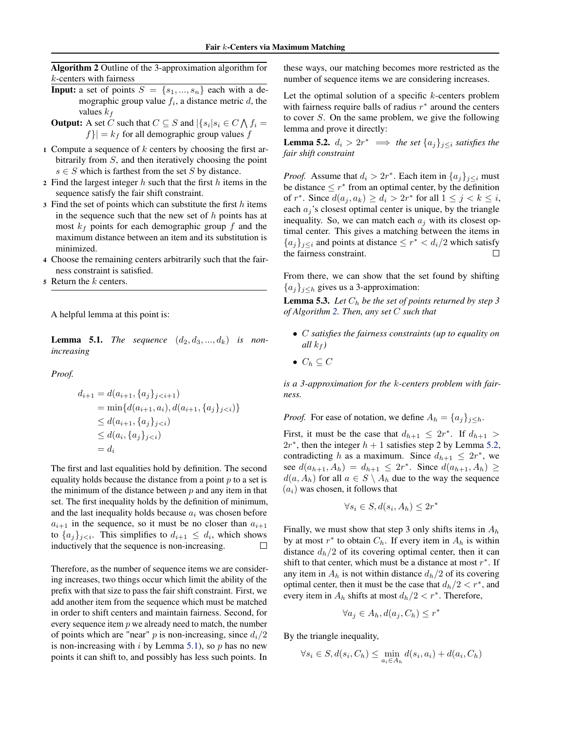<span id="page-3-0"></span>Algorithm 2 Outline of the 3-approximation algorithm for k-centers with fairness

- **Input:** a set of points  $S = \{s_1, ..., s_n\}$  each with a demographic group value  $f_i$ , a distance metric  $d$ , the values  $k_f$
- **Output:** A set C such that  $C \subseteq S$  and  $|\{s_i | s_i \in C \bigwedge f_i =$  $|f\rangle = k_f$  for all demographic group values f
- 1 Compute a sequence of  $k$  centers by choosing the first arbitrarily from S, and then iteratively choosing the point  $s \in S$  which is farthest from the set S by distance.
- 2 Find the largest integer  $h$  such that the first  $h$  items in the sequence satisfy the fair shift constraint.
- 3 Find the set of points which can substitute the first  $h$  items in the sequence such that the new set of  $h$  points has at most  $k_f$  points for each demographic group f and the maximum distance between an item and its substitution is minimized.
- <sup>4</sup> Choose the remaining centers arbitrarily such that the fairness constraint is satisfied.
- $\mathfrak s$  Return the  $k$  centers.

A helpful lemma at this point is:

**Lemma 5.1.** *The sequence*  $(d_2, d_3, ..., d_k)$  *is nonincreasing* 

*Proof.* 

$$
d_{i+1} = d(a_{i+1}, \{a_j\}_{j < i+1})
$$
\n
$$
= \min\{d(a_{i+1}, a_i), d(a_{i+1}, \{a_j\}_{j < i})\}
$$
\n
$$
\leq d(a_{i+1}, \{a_j\}_{j < i})
$$
\n
$$
\leq d(a_i, \{a_j\}_{j < i})
$$
\n
$$
= d_i
$$

The first and last equalities hold by definition. The second equality holds because the distance from a point  $p$  to a set is the minimum of the distance between  $p$  and any item in that set. The first inequality holds by the definition of minimum, and the last inequality holds because  $a_i$  was chosen before  $a_{i+1}$  in the sequence, so it must be no closer than  $a_{i+1}$ to  ${a_i}_{i \leq i}$ . This simplifies to  $d_{i+1} \leq d_i$ , which shows inductively that the sequence is non-increasing.  $\Box$ 

Therefore, as the number of sequence items we are considering increases, two things occur which limit the ability of the prefix with that size to pass the fair shift constraint. First, we add another item from the sequence which must be matched in order to shift centers and maintain fairness. Second, for every sequence item  $p$  we already need to match, the number of points which are "near"  $p$  is non-increasing, since  $d_i/2$ is non-increasing with i by Lemma 5.1), so  $p$  has no new points it can shift to, and possibly has less such points. In

these ways, our matching becomes more restricted as the number of sequence items we are considering increases.

Let the optimal solution of a specific  $k$ -centers problem with fairness require balls of radius  $r^*$  around the centers to cover S. On the same problem, we give the following lemma and prove it directly:

**Lemma 5.2.**  $d_i > 2r^* \implies$  the set  $\{a_i\}_{i \leq i}$  satisfies the *fair shift constraint* 

*Proof.* Assume that  $d_i > 2r^*$ . Each item in  $\{a_j\}_{j \leq i}$  must be distance  $\leq r^*$  from an optimal center, by the definition of  $r^*$ . Since  $d(a_i, a_k) \geq d_i > 2r^*$  for all  $1 \leq j \leq k \leq i$ , each  $a_i$ 's closest optimal center is unique, by the triangle inequality. So, we can match each  $a_i$  with its closest optimal center. This gives a matching between the items in  ${a_i}_{i \leq i}$  and points at distance  $\leq r^* < d_i/2$  which satisfy the fairness constraint.  $\Box$ 

From there, we can show that the set found by shifting  ${a_j}_{j\leq h}$  gives us a 3-approximation:

**Lemma 5.3.** Let  $C_h$  be the set of points returned by step 3 *of Algorithm 2. Then, any set* C *such that* 

- • C *satisfies the fairness constraints (up to equality on all*  $k_f$ *)*
- $C_h \subseteq C$

*is a 3-approximation for the* k*-centers problem with fairness.* 

*Proof.* For ease of notation, we define  $A_h = \{a_j\}_{j \leq h}$ .

First, it must be the case that  $d_{h+1} \leq 2r^*$ . If  $d_{h+1} >$  $2r^*$ , then the integer  $h + 1$  satisfies step 2 by Lemma 5.2, contradicting h as a maximum. Since  $d_{h+1} \leq 2r^*$ , we see  $d(a_{h+1}, A_h) = d_{h+1} \leq 2r^*$ . Since  $d(a_{h+1}, A_h)$  ≥  $d(a, A_h)$  for all  $a \in S \setminus A_h$  due to the way the sequence  $(a_i)$  was chosen, it follows that

$$
\forall s_i \in S, d(s_i, A_h) \le 2r^*
$$

Finally, we must show that step 3 only shifts items in  $A_h$  by at most  $r^*$  to obtain  $C_h$ . If every item in  $A_h$  is within distance  $d_h/2$  of its covering optimal center, then it can shift to that center, which must be a distance at most  $r^*$ . If any item in  $A_h$  is not within distance  $d_h/2$  of its covering optimal center, then it must be the case that  $d_h/2 < r^*$ , and every item in  $A_h$  shifts at most  $d_h/2 < r^*$ . Therefore,

$$
\forall a_j \in A_h, d(a_j, C_h) \le r^*
$$

By the triangle inequality,

$$
\forall s_i \in S, d(s_i, C_h) \leq \min_{a_i \in A_h} d(s_i, a_i) + d(a_i, C_h)
$$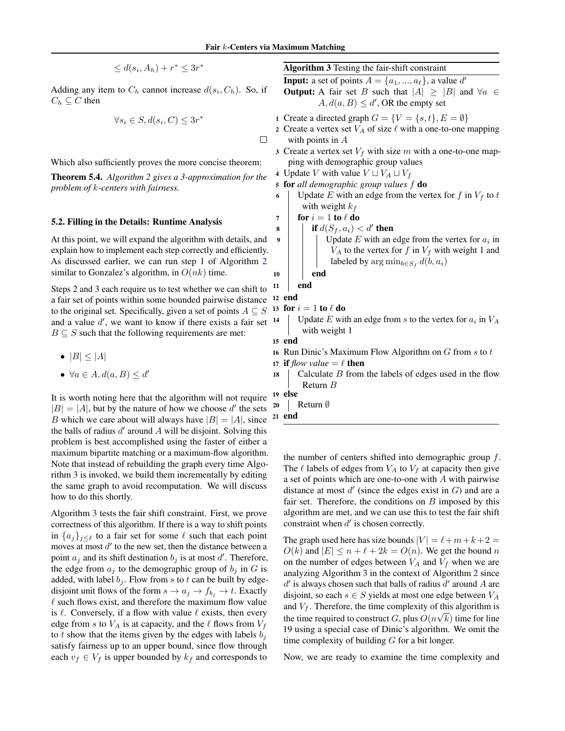6

 $\Box$ 

$$
\leq d(s_i, A_h) + r^* \leq 3r^*
$$

<span id="page-4-0"></span>Adding any item to  $C_h$  cannot increase  $d(s_i, C_h)$ . So, if  $C_h \subseteq C$  then

$$
\forall s_i \in S, d(s_i, C) \le 3r^*
$$

Which also sufficiently proves the more concise theorem:

Theorem 5.4. *Algorithm [2](#page-3-0) gives a 3-approximation for the* <sup>4</sup> *problem of k-centers with fairness.* 

# 5.2. Filling in the Details: Runtime Analysis  $\frac{7}{8}$

At this point, we will expand the algorithm with details, and 9 explain how to implement each step correctly and efficiently. As discussed earlier, we can run step 1 of Algorithm [2](#page-3-0)  similar to Gonzalez's algorithm, in  $O(nk)$  time. 10

Steps 2 and 3 each require us to test whether we can shift to <sup>11</sup> a fair set of points within some bounded pairwise distance <sup>12</sup> to the original set. Specifically, given a set of points  $A \subseteq S^{-13}$ and a value  $d'$ , we want to know if there exists a fair set  $14$  $B \subseteq S$  such that the following requirements are met:

- $|B| \leq |A|$
- $\forall a \in A, d(a, B) \leq d'$  18

It is worth noting here that the algorithm will not require  $\frac{19}{|R| - |A|}$  but by the pature of how we choose d' the sets  $\frac{20}{20}$  $|B| = |A|$ , but by the nature of how we choose d' the sets  $\frac{20}{3}$ <br>B which we care about will always have  $|B| = |A|$  since  $\frac{21}{3}$ B which we care about will always have  $|B| = |A|$ , since the balls of radius  $d'$  around A will be disjoint. Solving this problem is best accomplished using the faster of either a maximum bipartite matching or a maximum-flow algorithm. Note that instead of rebuilding the graph every time Algorithm 3 is invoked, we build them incrementally by editing the same graph to avoid recomputation. We will discuss how to do this shortly.

Algorithm 3 tests the fair shift constraint. First, we prove correctness of this algorithm. If there is a way to shift points in  $\{a_j\}_{j\leq \ell}$  to a fair set for some  $\ell$  such that each point moves at most  $d'$  to the new set, then the distance between a point  $a_j$  and its shift destination  $b_j$  is at most d'. Therefore, the edge from  $a_i$  to the demographic group of  $b_i$  in G is added, with label  $b_j$ . Flow from s to t can be built by edgedisjoint unit flows of the form  $s \to a_j \to f_{b_j} \to t$ . Exactly  $\ell$  such flows exist, and therefore the maximum flow value is  $\ell$ . Conversely, if a flow with value  $\ell$  exists, then every edge from s to  $V_A$  is at capacity, and the  $\ell$  flows from  $V_f$ to t show that the items given by the edges with labels  $b_i$ satisfy fairness up to an upper bound, since flow through each  $v_f \in V_f$  is upper bounded by  $k_f$  and corresponds to

Algorithm 3 Testing the fair-shift constraint

**Input:** a set of points  $A = \{a_1, ..., a_\ell\}$ , a value d'

**Output:** A fair set B such that  $|A| \geq |B|$  and  $\forall a \in \mathbb{R}$  $A, d(a, B) \le d'$ , OR the empty set

- 1 Create a directed graph  $G = \{V = \{s, t\}, E = \emptyset\}$
- 2 Create a vertex set  $V_A$  of size  $\ell$  with a one-to-one mapping with points in A
- 3 Create a vertex set  $V_f$  with size m with a one-to-one mapping with demographic group values
- 4 Update V with value  $V \sqcup V_A \sqcup V_f$
- for *all demographic group values* f do
	- Update  $E$  with an edge from the vertex for  $f$  in  $V_f$  to  $t$ with weight  $k_f$

$$
for i = 1 to l do
$$

- if  $d(S_f, a_i) < d'$  then
	- Update  $E$  with an edge from the vertex for  $a_i$  in  $V_A$  to the vertex for f in  $V_f$  with weight 1 and labeled by  $\arg \min_{b \in S_f} d(b, a_i)$

end

```
end
```
for  $i = 1$  to  $\ell$  do

end

Update  $E$  with an edge from  $s$  to the vertex for  $a_i$  in  $V_A$ with weight 1

15 end

- 16 Run Dinic's Maximum Flow Algorithm on  $G$  from  $s$  to  $t$
- 17 if *flow value*  $= \ell$  then
	- Calculate  $B$  from the labels of edges used in the flow Return B
- else
- Return ∅
- end

the number of centers shifted into demographic group  $f$ . The  $\ell$  labels of edges from  $V_A$  to  $V_f$  at capacity then give a set of points which are one-to-one with A with pairwise distance at most  $d'$  (since the edges exist in  $G$ ) and are a fair set. Therefore, the conditions on  $B$  imposed by this algorithm are met, and we can use this to test the fair shift constraint when  $d'$  is chosen correctly.

The graph used here has size bounds  $|V| = \ell + m + k + 2 =$  $O(k)$  and  $|E| \le n + \ell + 2k = O(n)$ . We get the bound n on the number of edges between  $V_A$  and  $V_f$  when we are analyzing Algorithm 3 in the context of Algorithm [2](#page-3-0) since  $d'$  is always chosen such that balls of radius  $d'$  around A are disjoint, so each  $s \in S$  yields at most one edge between  $V_A$ and  $V_f$ . Therefore, the time complexity of this algorithm is the time required to construct G, plus  $O(n\sqrt{k})$  time for line 19 using a special case of Dinic's algorithm. We omit the time complexity of building  $G$  for a bit longer.

Now, we are ready to examine the time complexity and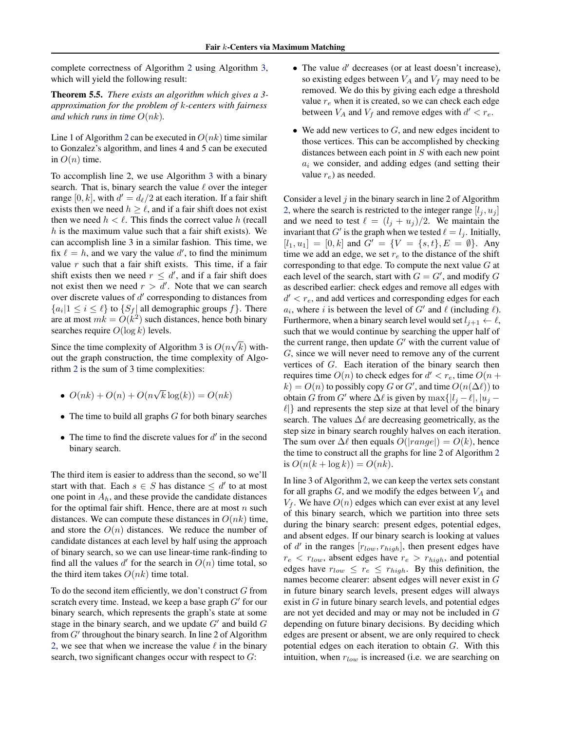<span id="page-5-0"></span>complete correctness of Algorithm [2](#page-3-0) using Algorithm [3,](#page-4-0) which will yield the following result:

Theorem 5.5. *There exists an algorithm which gives a 3 approximation for the problem of* k*-centers with fairness and which runs in time*  $O(nk)$ *.* 

Line 1 of Algorithm [2](#page-3-0) can be executed in  $O(nk)$  time similar to Gonzalez's algorithm, and lines 4 and 5 can be executed in  $O(n)$  time.

To accomplish line 2, we use Algorithm [3](#page-4-0) with a binary search. That is, binary search the value  $\ell$  over the integer range [0, k], with  $d' = d_{\ell}/2$  at each iteration. If a fair shift exists then we need  $h \ge \ell$ , and if a fair shift does not exist then we need  $h < l$ . This finds the correct value h (recall  $h$  is the maximum value such that a fair shift exists). We can accomplish line 3 in a similar fashion. This time, we fix  $\ell = h$ , and we vary the value d', to find the minimum value  $r$  such that a fair shift exists. This time, if a fair shift exists then we need  $r \leq d'$ , and if a fair shift does not exist then we need  $r > d'$ . Note that we can search over discrete values of  $d'$  corresponding to distances from  ${a_i | 1 \le i \le \ell}$  to  ${S_f |$  all demographic groups  $f$ . There are at most  $mk = O(k^2)$  such distances, hence both binary searches require  $O(\log k)$  levels.

Since the time complexity of Algorithm [3](#page-4-0) is  $O(n\sqrt{k})$  without the graph construction, the time complexity of Algorithm [2](#page-3-0) is the sum of 3 time complexities:

- $O(nk) + O(n) + O(n\sqrt{k} \log(k)) = O(nk)$
- $\bullet$  The time to build all graphs  $G$  for both binary searches
- The time to find the discrete values for  $d'$  in the second binary search.

The third item is easier to address than the second, so we'll start with that. Each  $s \in S$  has distance  $\leq d'$  to at most one point in  $A<sub>h</sub>$ , and these provide the candidate distances for the optimal fair shift. Hence, there are at most  $n$  such distances. We can compute these distances in  $O(nk)$  time, and store the  $O(n)$  distances. We reduce the number of candidate distances at each level by half using the approach of binary search, so we can use linear-time rank-finding to find all the values  $d'$  for the search in  $O(n)$  time total, so the third item takes  $O(nk)$  time total.

To do the second item efficiently, we don't construct G from scratch every time. Instead, we keep a base graph  $G'$  for our binary search, which represents the graph's state at some stage in the binary search, and we update  $G'$  and build  $G$ from G' throughout the binary search. In line 2 of Algorithm [2,](#page-3-0) we see that when we increase the value  $\ell$  in the binary search, two significant changes occur with respect to  $G$ :

- The value  $d'$  decreases (or at least doesn't increase), so existing edges between  $V_A$  and  $V_f$  may need to be removed. We do this by giving each edge a threshold value  $r_e$  when it is created, so we can check each edge between  $V_A$  and  $V_f$  and remove edges with  $d' < r_e$ .
- We add new vertices to  $G$ , and new edges incident to those vertices. This can be accomplished by checking distances between each point in S with each new point  $a_i$  we consider, and adding edges (and setting their value  $r_e$ ) as needed.

Consider a level  $j$  in the binary search in line 2 of Algorithm [2,](#page-3-0) where the search is restricted to the integer range  $[l_i, u_j]$ and we need to test  $\ell = (l_j + u_j)/2$ . We maintain the invariant that G' is the graph when we tested  $\ell = l_j$ . Initially,  $[l_1, u_1] = [0, k]$  and  $G' = \{V = \{s, t\}, E = \emptyset\}$ . Any time we add an edge, we set  $r_e$  to the distance of the shift corresponding to that edge. To compute the next value  $G$  at each level of the search, start with  $G = G'$ , and modify  $G$ as described earlier: check edges and remove all edges with  $d' < r_e$ , and add vertices and corresponding edges for each  $a_i$ , where i is between the level of G' and  $\ell$  (including  $\ell$ ). Furthermore, when a binary search level would set  $l_{i+1} \leftarrow \ell$ , such that we would continue by searching the upper half of the current range, then update  $G'$  with the current value of G, since we will never need to remove any of the current vertices of G. Each iteration of the binary search then requires time  $O(n)$  to check edges for  $d' < r_e$ , time  $O(n +$  $k$ ) =  $O(n)$  to possibly copy G or G', and time  $O(n(\Delta \ell))$  to obtain G from G' where  $\Delta \ell$  is given by  $\max\{|l_i - \ell|, |u_i - \ell|\}$  $\ell$  and represents the step size at that level of the binary search. The values  $\Delta \ell$  are decreasing geometrically, as the step size in binary search roughly halves on each iteration. The sum over  $\Delta \ell$  then equals  $O(|range|) = O(k)$ , hence the time to construct all the graphs for line 2 of Algorithm [2](#page-3-0)  is  $O(n(k + \log k)) = O(nk)$ .

In line 3 of Algorithm [2,](#page-3-0) we can keep the vertex sets constant for all graphs  $G$ , and we modify the edges between  $V_A$  and  $V_f$ . We have  $O(n)$  edges which can ever exist at any level of this binary search, which we partition into three sets during the binary search: present edges, potential edges, and absent edges. If our binary search is looking at values of d' in the ranges  $[r_{low}, r_{high}]$ , then present edges have  $r_e$  <  $r_{low}$ , absent edges have  $r_e$  >  $r_{high}$ , and potential edges have  $r_{low} \leq r_e \leq r_{high}$ . By this definition, the names become clearer: absent edges will never exist in G in future binary search levels, present edges will always exist in  $G$  in future binary search levels, and potential edges are not yet decided and may or may not be included in G depending on future binary decisions. By deciding which edges are present or absent, we are only required to check potential edges on each iteration to obtain G. With this intuition, when  $r_{low}$  is increased (i.e. we are searching on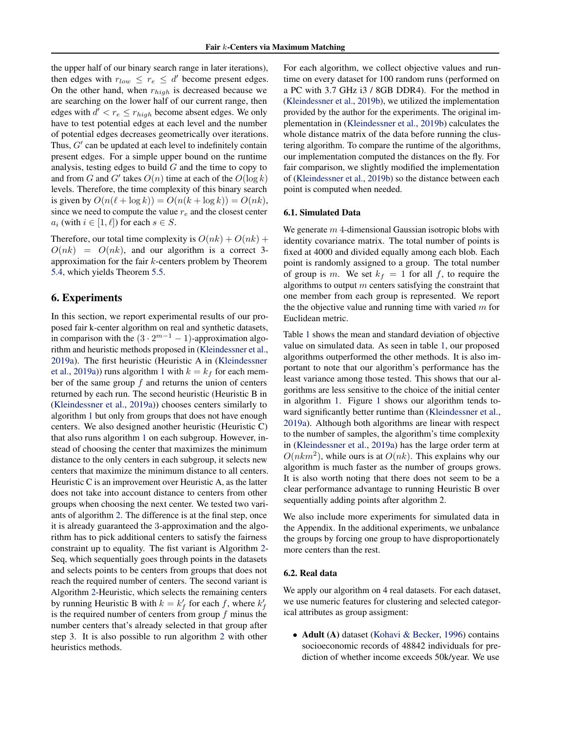<span id="page-6-0"></span>the upper half of our binary search range in later iterations), then edges with  $r_{low} \leq r_e \leq d'$  become present edges. On the other hand, when  $r_{high}$  is decreased because we are searching on the lower half of our current range, then edges with  $d' < r_e \le r_{high}$  become absent edges. We only have to test potential edges at each level and the number of potential edges decreases geometrically over iterations. Thus,  $G'$  can be updated at each level to indefinitely contain present edges. For a simple upper bound on the runtime analysis, testing edges to build  $G$  and the time to copy to and from G and G' takes  $O(n)$  time at each of the  $O(\log k)$ levels. Therefore, the time complexity of this binary search is given by  $O(n(\ell + \log k)) = O(n(k + \log k)) = O(nk)$ , since we need to compute the value  $r_e$  and the closest center  $a_i$  (with  $i \in [1, \ell]$ ) for each  $s \in S$ .

Therefore, our total time complexity is  $O(nk) + O(nk)$  +  $O(nk) = O(nk)$ , and our algorithm is a correct 3approximation for the fair k-centers problem by Theorem [5.4,](#page-4-0) which yields Theorem [5.5.](#page-5-0)

### 6. Experiments

In this section, we report experimental results of our proposed fair k-center algorithm on real and synthetic datasets, in comparison with the  $(3 \cdot 2^{m-1} - 1)$ -approximation algorithm and heuristic methods proposed in [\(Kleindessner et al.,](#page-9-0) [2019a\)](#page-9-0). The first heuristic (Heuristic A in [\(Kleindessner](#page-9-0)  [et al., 2019a\)](#page-9-0)) runs algorithm [1](#page-2-0) with  $k = k_f$  for each member of the same group  $f$  and returns the union of centers returned by each run. The second heuristic (Heuristic B in [\(Kleindessner et al., 2019a\)](#page-9-0)) chooses centers similarly to algorithm [1](#page-2-0) but only from groups that does not have enough centers. We also designed another heuristic (Heuristic C) that also runs algorithm [1](#page-2-0) on each subgroup. However, instead of choosing the center that maximizes the minimum distance to the only centers in each subgroup, it selects new centers that maximize the minimum distance to all centers. Heuristic C is an improvement over Heuristic A, as the latter does not take into account distance to centers from other groups when choosing the next center. We tested two variants of algorithm [2.](#page-3-0) The difference is at the final step, once it is already guaranteed the 3-approximation and the algorithm has to pick additional centers to satisfy the fairness constraint up to equality. The fist variant is Algorithm [2](#page-3-0) Seq, which sequentially goes through points in the datasets and selects points to be centers from groups that does not reach the required number of centers. The second variant is Algorithm [2-](#page-3-0)Heuristic, which selects the remaining centers by running Heuristic B with  $k = k'_f$  for each f, where  $k'_f$ is the required number of centers from group  $f$  minus the number centers that's already selected in that group after step 3. It is also possible to run algorithm [2](#page-3-0) with other heuristics methods.

For each algorithm, we collect objective values and runtime on every dataset for 100 random runs (performed on a PC with 3.7 GHz i3 / 8GB DDR4). For the method in [\(Kleindessner et al., 2019b\)](#page-9-0), we utilized the implementation provided by the author for the experiments. The original implementation in [\(Kleindessner et al., 2019b\)](#page-9-0) calculates the whole distance matrix of the data before running the clustering algorithm. To compare the runtime of the algorithms, our implementation computed the distances on the fly. For fair comparison, we slightly modified the implementation of [\(Kleindessner et al., 2019b\)](#page-9-0) so the distance between each point is computed when needed.

### 6.1. Simulated Data

We generate  $m$  4-dimensional Gaussian isotropic blobs with identity covariance matrix. The total number of points is fixed at 4000 and divided equally among each blob. Each point is randomly assigned to a group. The total number of group is m. We set  $k_f = 1$  for all f, to require the algorithms to output  $m$  centers satisfying the constraint that one member from each group is represented. We report the the objective value and running time with varied  $m$  for Euclidean metric.

Table [1](#page-7-0) shows the mean and standard deviation of objective value on simulated data. As seen in table [1,](#page-7-0) our proposed algorithms outperformed the other methods. It is also important to note that our algorithm's performance has the least variance among those tested. This shows that our algorithms are less sensitive to the choice of the initial center in algorithm [1.](#page-2-0) Figure [1](#page-7-0) shows our algorithm tends toward significantly better runtime than [\(Kleindessner et al.,](#page-9-0) [2019a\)](#page-9-0). Although both algorithms are linear with respect to the number of samples, the algorithm's time complexity in [\(Kleindessner et al., 2019a\)](#page-9-0) has the large order term at  $O(nkm^2)$ , while ours is at  $O(nk)$ . This explains why our algorithm is much faster as the number of groups grows. It is also worth noting that there does not seem to be a clear performance advantage to running Heuristic B over sequentially adding points after algorithm 2.

We also include more experiments for simulated data in the Appendix. In the additional experiments, we unbalance the groups by forcing one group to have disproportionately more centers than the rest.

### 6.2. Real data

We apply our algorithm on 4 real datasets. For each dataset, we use numeric features for clustering and selected categorical attributes as group assigment:

• Adult (A) dataset [\(Kohavi & Becker, 1996\)](#page-9-0) contains socioeconomic records of 48842 individuals for prediction of whether income exceeds 50k/year. We use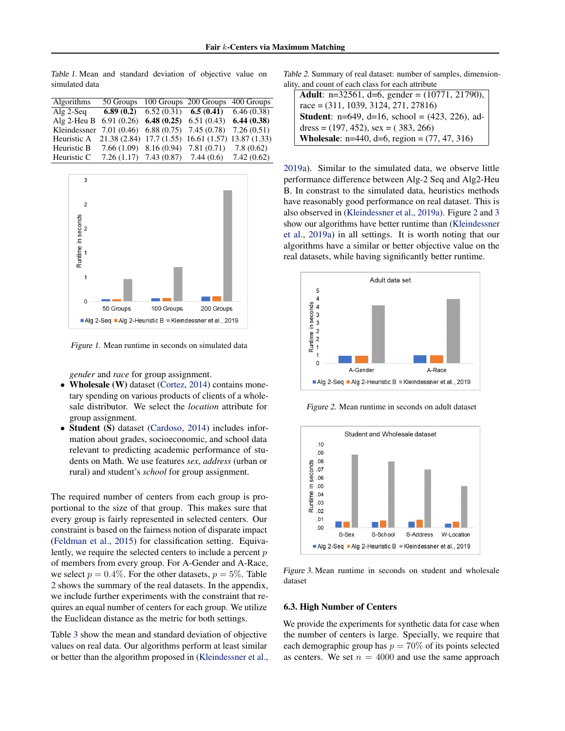<span id="page-7-0"></span>Table 1. Mean and standard deviation of objective value on simulated data

| Algorithms                                                     |                                                       | 50 Groups 100 Groups 200 Groups 400 Groups                  |  |
|----------------------------------------------------------------|-------------------------------------------------------|-------------------------------------------------------------|--|
| Alg $2$ -Seq                                                   |                                                       | <b>6.89 (0.2)</b> 6.52 (0.31) <b>6.5 (0.41)</b> 6.46 (0.38) |  |
| Alg 2-Heu B $6.91(0.26)$ 6.48 (0.25) 6.51 (0.43) 6.44 (0.38)   |                                                       |                                                             |  |
| Kleindessner 7.01 (0.46) 6.88 (0.75) 7.45 (0.78) 7.26 (0.51)   |                                                       |                                                             |  |
| Heuristic A 21.38 (2.84) 17.7 (1.55) 16.61 (1.57) 13.87 (1.33) |                                                       |                                                             |  |
| Heuristic B                                                    | $7.66(1.09)$ 8.16 $(0.94)$ 7.81 $(0.71)$ 7.8 $(0.62)$ |                                                             |  |
| Heuristic C                                                    |                                                       | 7.26 (1.17) 7.43 (0.87) 7.44 (0.6) 7.42 (0.62)              |  |



Figure 1. Mean runtime in seconds on simulated data

*gender* and *race* for group assignment.

- Wholesale (W) dataset [\(Cortez, 2014\)](#page-9-0) contains monetary spending on various products of clients of a wholesale distributor. We select the *location* attribute for group assignment.
- Student (S) dataset [\(Cardoso, 2014\)](#page-9-0) includes information about grades, socioeconomic, and school data relevant to predicting academic performance of students on Math. We use features *sex*, *address* (urban or rural) and student's *school* for group assignment.

The required number of centers from each group is proportional to the size of that group. This makes sure that every group is fairly represented in selected centers. Our constraint is based on the fairness notion of disparate impact [\(Feldman et al., 2015\)](#page-9-0) for classification setting. Equivalently, we require the selected centers to include a percent  $p$ of members from every group. For A-Gender and A-Race, we select  $p = 0.4\%$ . For the other datasets,  $p = 5\%$ . Table 2 shows the summary of the real datasets. In the appendix, we include further experiments with the constraint that requires an equal number of centers for each group. We utilize the Euclidean distance as the metric for both settings.

Table [3](#page-8-0) show the mean and standard deviation of objective values on real data. Our algorithms perform at least similar or better than the algorithm proposed in [\(Kleindessner et al.,](#page-9-0) Table 2. Summary of real dataset: number of samples, dimensionality, and count of each class for each attribute

| <b>Adult:</b> n=32561, d=6, gender = $(10771, 21790)$ ,     |
|-------------------------------------------------------------|
| race = $(311, 1039, 3124, 271, 27816)$                      |
| <b>Student:</b> n=649, d=16, school = $(423, 226)$ , ad-    |
| dress = $(197, 452)$ , sex = $(383, 266)$                   |
| <b>Wholesale</b> : $n=440$ , $d=6$ , region = (77, 47, 316) |

[2019a\)](#page-9-0). Similar to the simulated data, we observe little performance difference between Alg-2 Seq and Alg2-Heu B. In constrast to the simulated data, heuristics methods have reasonably good performance on real dataset. This is also observed in [\(Kleindessner et al., 2019a\)](#page-9-0). Figure 2 and 3 show our algorithms have better runtime than [\(Kleindessner](#page-9-0)  [et al.,](#page-9-0) [2019a\)](#page-9-0) in all settings. It is worth noting that our algorithms have a similar or better objective value on the real datasets, while having significantly better runtime.



Figure 2. Mean runtime in seconds on adult dataset



Figure 3. Mean runtime in seconds on student and wholesale dataset

### 6.3. High Number of Centers

We provide the experiments for synthetic data for case when the number of centers is large. Specially, we require that each demographic group has  $p = 70\%$  of its points selected as centers. We set  $n = 4000$  and use the same approach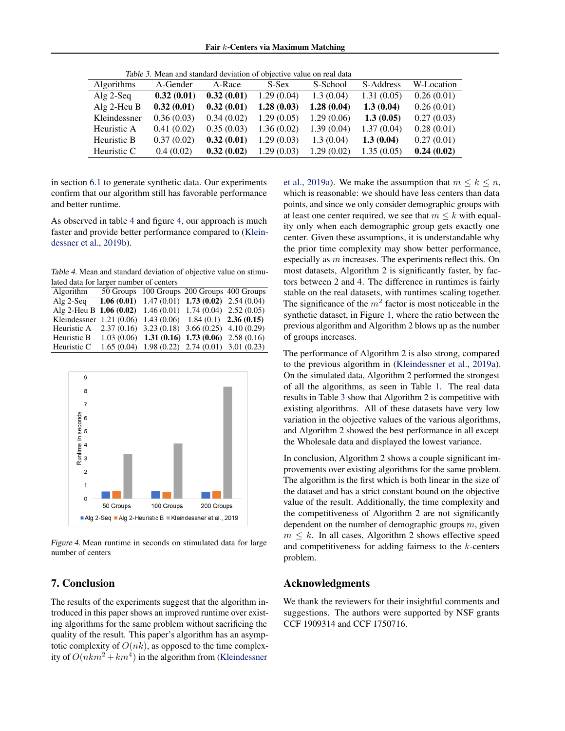<span id="page-8-0"></span>

| Table 3. Mean and standard deviation of objective value on real data |            |            |             |             |            |            |
|----------------------------------------------------------------------|------------|------------|-------------|-------------|------------|------------|
| <b>Algorithms</b>                                                    | A-Gender   | A-Race     | S-Sex       | S-School    | S-Address  | W-Location |
| Alg $2$ -Seq                                                         | 0.32(0.01) | 0.32(0.01) | 1.29(0.04)  | 1.3(0.04)   | 1.31(0.05) | 0.26(0.01) |
| Alg $2$ -Heu B                                                       | 0.32(0.01) | 0.32(0.01) | 1.28(0.03)  | 1.28(0.04)  | 1.3(0.04)  | 0.26(0.01) |
| Kleindessner                                                         | 0.36(0.03) | 0.34(0.02) | 1.29 (0.05) | 1.29 (0.06) | 1.3(0.05)  | 0.27(0.03) |
| Heuristic A                                                          | 0.41(0.02) | 0.35(0.03) | 1.36 (0.02) | 1.39(0.04)  | 1.37(0.04) | 0.28(0.01) |
| Heuristic B                                                          | 0.37(0.02) | 0.32(0.01) | 1.29(0.03)  | 1.3(0.04)   | 1.3(0.04)  | 0.27(0.01) |
| Heuristic C                                                          | 0.4(0.02)  | 0.32(0.02) | 1.29(0.03)  | 1.29 (0.02) | 1.35(0.05) | 0.24(0.02) |

in section [6.1](#page-6-0) to generate synthetic data. Our experiments confirm that our algorithm still has favorable performance and better runtime.

As observed in table 4 and figure 4, our approach is much faster and provide better performance compared to [\(Klein](#page-9-0)[dessner et al., 2019b\)](#page-9-0).

Table 4. Mean and standard deviation of objective value on stimulated data for larger number of centers

| Algorithm                                                          | 50 Groups 100 Groups 200 Groups 400 Groups                    |  |
|--------------------------------------------------------------------|---------------------------------------------------------------|--|
| $Alg 2-Seq$                                                        | <b>1.06 (0.01)</b> 1.47 (0.01) <b>1.73 (0.02)</b> 2.54 (0.04) |  |
| Alg 2-Heu B $1.06(0.02)$ 1.46 $(0.01)$ 1.74 $(0.04)$ 2.52 $(0.05)$ |                                                               |  |
| Kleindessner 1.21 (0.06) 1.43 (0.06) 1.84 (0.1) 2.36 (0.15)        |                                                               |  |
| Heuristic A $2.37(0.16)$ $3.23(0.18)$ $3.66(0.25)$ $4.10(0.29)$    |                                                               |  |
| Heuristic B                                                        | $1.03(0.06)$ 1.31 (0.16) 1.73 (0.06) 2.58 (0.16)              |  |
| Heuristic C                                                        | $1.65(0.04)$ 1.98 (0.22) 2.74 (0.01) 3.01 (0.23)              |  |



Figure 4. Mean runtime in seconds on stimulated data for large number of centers

### 7. Conclusion

The results of the experiments suggest that the algorithm introduced in this paper shows an improved runtime over existing algorithms for the same problem without sacrificing the quality of the result. This paper's algorithm has an asymptotic complexity of  $O(nk)$ , as opposed to the time complexity of  $O(nkm^2 + km^4)$  in the algorithm from (Kleindessner

[et al., 2019a\)](#page-9-0). We make the assumption that  $m \leq k \leq n$ , which is reasonable: we should have less centers than data points, and since we only consider demographic groups with at least one center required, we see that  $m \leq k$  with equality only when each demographic group gets exactly one center. Given these assumptions, it is understandable why the prior time complexity may show better performance, especially as m increases. The experiments reflect this. On most datasets, Algorithm 2 is significantly faster, by factors between 2 and 4. The difference in runtimes is fairly stable on the real datasets, with runtimes scaling together. The significance of the  $m<sup>2</sup>$  factor is most noticeable in the synthetic dataset, in Figure [1,](#page-7-0) where the ratio between the previous algorithm and Algorithm 2 blows up as the number of groups increases.

The performance of Algorithm 2 is also strong, compared to the previous algorithm in [\(Kleindessner et al., 2019a\)](#page-9-0). On the simulated data, Algorithm 2 performed the strongest of all the algorithms, as seen in Table [1.](#page-7-0) The real data results in Table 3 show that Algorithm 2 is competitive with existing algorithms. All of these datasets have very low variation in the objective values of the various algorithms, and Algorithm 2 showed the best performance in all except the Wholesale data and displayed the lowest variance.

In conclusion, Algorithm 2 shows a couple significant improvements over existing algorithms for the same problem. The algorithm is the first which is both linear in the size of the dataset and has a strict constant bound on the objective value of the result. Additionally, the time complexity and the competitiveness of Algorithm 2 are not significantly dependent on the number of demographic groups  $m$ , given  $m \leq k$ . In all cases, Algorithm 2 shows effective speed and competitiveness for adding fairness to the  $k$ -centers problem.

### Acknowledgments

We thank the reviewers for their insightful comments and suggestions. The authors were supported by NSF grants CCF 1909314 and CCF 1750716.